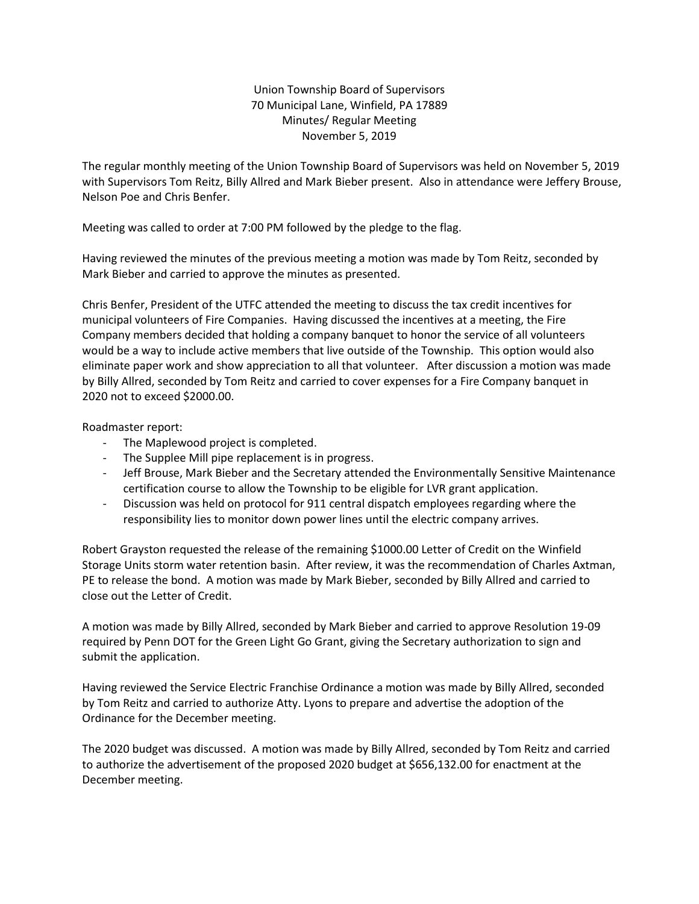Union Township Board of Supervisors 70 Municipal Lane, Winfield, PA 17889 Minutes/ Regular Meeting November 5, 2019

The regular monthly meeting of the Union Township Board of Supervisors was held on November 5, 2019 with Supervisors Tom Reitz, Billy Allred and Mark Bieber present. Also in attendance were Jeffery Brouse, Nelson Poe and Chris Benfer.

Meeting was called to order at 7:00 PM followed by the pledge to the flag.

Having reviewed the minutes of the previous meeting a motion was made by Tom Reitz, seconded by Mark Bieber and carried to approve the minutes as presented.

Chris Benfer, President of the UTFC attended the meeting to discuss the tax credit incentives for municipal volunteers of Fire Companies. Having discussed the incentives at a meeting, the Fire Company members decided that holding a company banquet to honor the service of all volunteers would be a way to include active members that live outside of the Township. This option would also eliminate paper work and show appreciation to all that volunteer. After discussion a motion was made by Billy Allred, seconded by Tom Reitz and carried to cover expenses for a Fire Company banquet in 2020 not to exceed \$2000.00.

Roadmaster report:

- The Maplewood project is completed.
- The Supplee Mill pipe replacement is in progress.
- Jeff Brouse, Mark Bieber and the Secretary attended the Environmentally Sensitive Maintenance certification course to allow the Township to be eligible for LVR grant application.
- Discussion was held on protocol for 911 central dispatch employees regarding where the responsibility lies to monitor down power lines until the electric company arrives.

Robert Grayston requested the release of the remaining \$1000.00 Letter of Credit on the Winfield Storage Units storm water retention basin. After review, it was the recommendation of Charles Axtman, PE to release the bond. A motion was made by Mark Bieber, seconded by Billy Allred and carried to close out the Letter of Credit.

A motion was made by Billy Allred, seconded by Mark Bieber and carried to approve Resolution 19-09 required by Penn DOT for the Green Light Go Grant, giving the Secretary authorization to sign and submit the application.

Having reviewed the Service Electric Franchise Ordinance a motion was made by Billy Allred, seconded by Tom Reitz and carried to authorize Atty. Lyons to prepare and advertise the adoption of the Ordinance for the December meeting.

The 2020 budget was discussed. A motion was made by Billy Allred, seconded by Tom Reitz and carried to authorize the advertisement of the proposed 2020 budget at \$656,132.00 for enactment at the December meeting.